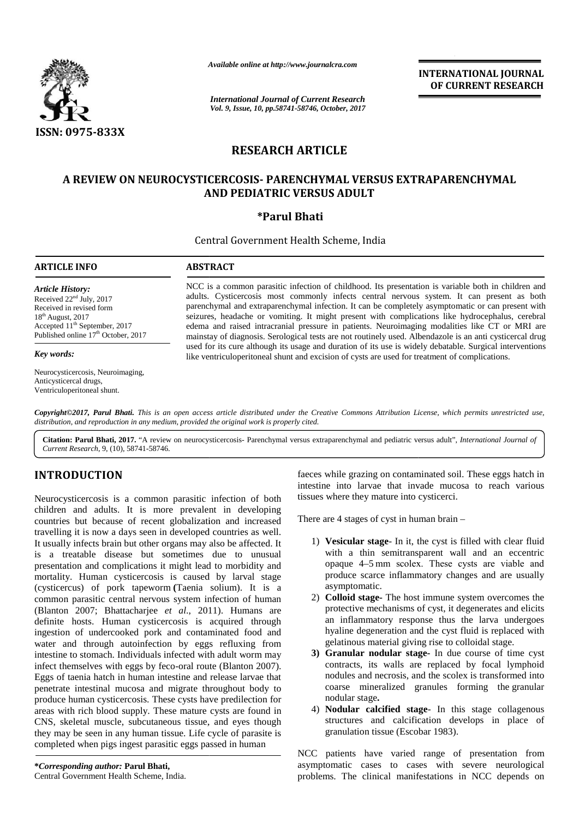

*Available online at http://www.journalcra.com*

*International Journal of Current Research Vol. 9, Issue, 10, pp.58741-58746, October, 2017* **INTERNATIONAL JOURNAL OF CURRENT RESEARCH**

# **RESEARCH ARTICLE**

# **A REVIEW ON NEUROCYSTICERCOSIS- PARENCHYMAL VERSUS EXTRAPARENCHYMAL A AND PEDIATRIC VERSUS ADULT VERSUS ADULT**

# **\*Parul Bhati**

Central Government Health Scheme, India

# **ARTICLE INFO**

*Article History:* Received  $22<sup>nd</sup>$  July, 2017 Received in revised form 18 th August, 2017 Accepted 11 th September, 2017 Published online 17<sup>th</sup> October, 2017

#### *Key words:*

Neurocysticercosis, Neuroimaging, Anticysticercal drugs, Ventriculoperitoneal shunt.

NCC is a common parasitic infection of childhood. Its presentation is variable both in children and NCC is a common parasitic infection of childhood. Its presentation is variable both in children and adults. Cysticercosis most commonly infects central nervous system. It can present as both parenchymal and extraparenchymal infection. It can be completely asymptomatic or can present with seizures, headache or vomiting. It might present with complications like hydrocephalus, cerebral edema and raised intracranial pressure in patients. Neuroimaging modalities like CT or MRI are mainstay of diagnosis. Serological tests are not routinely used. Albendazole is an anti cysticercal drug used for its cure although its usage and duration of its use is widely debatable. Surgical interventions interventionslike ventriculoperitoneal shunt and excision of cysts are used for treatment of complications. parenchymal and extraparenchymal infection. It can be completely asymptomatic or can present with<br>seizures, headache or vomiting. It might present with complications like hydrocephalus, cerebral<br>edema and raised intracrani

*Copyright©2017, Parul Bhati. This is an open access article distributed under the Creative Commons Attribution License, which permits unrestricted use,* **Copyright©2017, Parul Bhati.** This is an open access article distributed under the Creativ<br>distribution, and reproduction in any medium, provided the original work is properly cited.

**Citation: Parul Bhati, 2017.** "A review on neurocysticercosis- Parenchymal versus extraparenchymal and pediatric versus adult", *International Journal of Current Research*, 9, (10), 58741-58746.

# **INTRODUCTION INTRODUCTION**

Neurocysticercosis is a common parasitic infection of both children and adults. It is more prevalent in developing countries but because of recent globalization and increased travelling it is now a days seen in developed countries as well. It usually infects brain but other organs may also be affected. It is a treatable disease but sometimes due to unusual is presentation and complications it might lead to morbidity and mortality. Human cysticercosis is caused by larval stage (cysticercus) of pork tapeworm **(**Taenia solium). It is a common parasitic central nervous system infection of human (Blanton 2007; Bhattacharjee *et al*., 2011). Humans are definite hosts. Human cysticercosis is acquired through ingestion of undercooked pork and contaminated food and water and through autoinfection by eggs refluxing from intestine to stomach. Individuals infected with adult worm may infect themselves with eggs by feco-oral route (Blanton 2007). Eggs of taenia hatch in human intestine and release larvae that penetrate intestinal mucosa and migrate throughout body to produce human cysticercosis. These cysts have predilection for areas with rich blood supply. These mature cysts are found in CNS, skeletal muscle, subcutaneous tissue, and eyes though they may be seen in any human tissue. Life cycle of parasite is completed when pigs ingest parasitic eggs passed in human Neurocysticercosis is a common parasitic infection of both children and adults. It is more prevalent in developing countries but because of recent globalization and increased travelling it is now a days seen in developed c presentation and complications it might lead to morbidity a<br>mortality. Human cysticercosis is caused by larval sta<br>(cysticercus) of pork tapeworm (Taenia solium). It is<br>common parasitic central nervous system infection of definite hosts. Human cysticercosis is acquired through ingestion of undercooked pork and contaminated food and water and through autoinfection by eggs refluxing from intestine to stomach. Individuals infected with adult w **EXERCISE AND MATTELE AND INTERNATIONAL INTERNATIONAL INTERNATIONAL INTERNATIONAL INTERNATIONAL INTERNATIONAL INTERNATIONAL INTERNATIONAL INTERNATIONAL INTERNATIONAL INTERNATIONAL INTERNATIONAL INTERNATIONAL INTERNATIONAL** Neurocysticercosis is a common<br>children and adults. It is more<br>countries but because of recent<br>travelling it is now a days seen in<br>It usually infects brain but other or<br>is a treatable disease but so<br>presentation and compli

faeces while grazing on contaminated soil. These eggs hatch in intestine into larvae that invade mucosa to reach various tissues where they mature into cysticerci.

There are 4 stages of cyst in human brain –

- 1) **Vesicular stage** In it, the cyst is filled with clear fluid with a thin semitransparent wall and an eccentric opaque 4–5 mm scolex. These cysts are viable and produce scarce inflammatory changes and are usually asymptomatic.
- 2) **Colloid stage-** The host immune system overcomes the protective mechanisms of cyst, it degenerates and elicits an inflammatory response thus the larva undergoes hyaline degeneration and the cyst fluid is replaced with gelatinous material giving rise to colloidal stage.
- **3) Granular nodular stage-** In due course of time cyst contracts, its walls are replaced by focal lymphoid nodules and necrosis, and the scolex is transformed into coarse mineralized granules forming the granular nodular stage**.**
- 4) **Nodular calcified stage** In this stage collagenous structures and calcification develops in place of granulation tissue (Escobar 1983).

NCC patients have varied range of presentation from asymptomatic cases to cases with severe neurological problems. The clinical manifestations in NCC depends on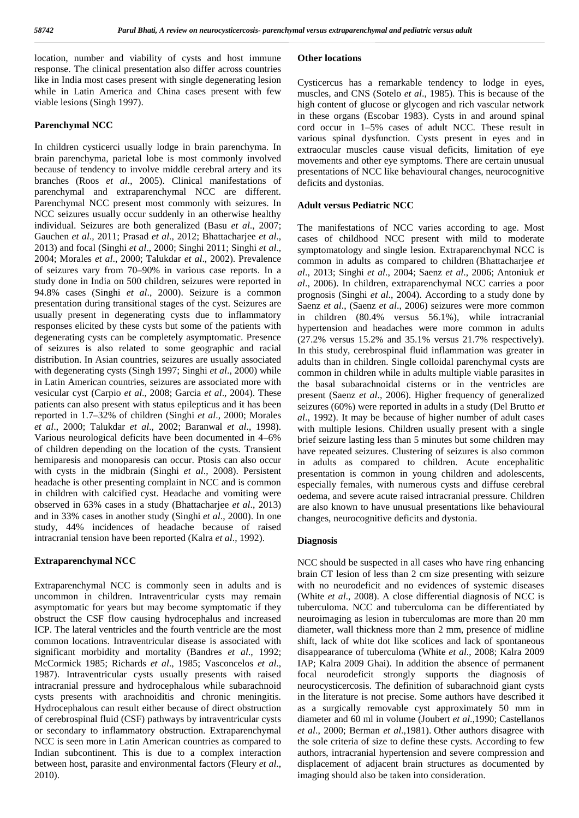location, number and viability of cysts and host immune response. The clinical presentation also differ across countries like in India most cases present with single degenerating lesion while in Latin America and China cases present with few viable lesions (Singh 1997).

#### **Parenchymal NCC**

In children cysticerci usually lodge in brain parenchyma. In brain parenchyma, parietal lobe is most commonly involved because of tendency to involve middle cerebral artery and its branches (Roos *et al*., 2005). Clinical manifestations of parenchymal and extraparenchymal NCC are different. Parenchymal NCC present most commonly with seizures. In NCC seizures usually occur suddenly in an otherwise healthy individual. Seizures are both generalized (Basu *et al*., 2007; Gauchen *et al*., 2011; Prasad *et al*., 2012; Bhattacharjee *et al*., 2013) and focal (Singhi *et al*., 2000; Singhi 2011; Singhi *et al*., 2004; Morales *et al*., 2000; Talukdar *et al*., 2002). Prevalence of seizures vary from 70–90% in various case reports. In a study done in India on 500 children, seizures were reported in 94.8% cases (Singhi *et al*., 2000). Seizure is a common presentation during transitional stages of the cyst. Seizures are usually present in degenerating cysts due to inflammatory responses elicited by these cysts but some of the patients with degenerating cysts can be completely asymptomatic. Presence of seizures is also related to some geographic and racial distribution. In Asian countries, seizures are usually associated with degenerating cysts (Singh 1997; Singhi *et al*., 2000) while in Latin American countries, seizures are associated more with vesicular cyst (Carpio *et al*., 2008; Garcia *et al*., 2004). These patients can also present with status epilepticus and it has been reported in 1.7–32% of children (Singhi *et al*., 2000; Morales *et al*., 2000; Talukdar *et al*., 2002; Baranwal *et al*., 1998). Various neurological deficits have been documented in 4–6% of children depending on the location of the cysts. Transient hemiparesis and monoparesis can occur. Ptosis can also occur with cysts in the midbrain (Singhi *et al*., 2008). Persistent headache is other presenting complaint in NCC and is common in children with calcified cyst. Headache and vomiting were observed in 63% cases in a study (Bhattacharjee *et al*., 2013) and in 33% cases in another study (Singhi *et al*., 2000). In one study, 44% incidences of headache because of raised intracranial tension have been reported (Kalra *et al*., 1992).

#### **Extraparenchymal NCC**

Extraparenchymal NCC is commonly seen in adults and is uncommon in children. Intraventricular cysts may remain asymptomatic for years but may become symptomatic if they obstruct the CSF flow causing hydrocephalus and increased ICP. The lateral ventricles and the fourth ventricle are the most common locations. Intraventricular disease is associated with significant morbidity and mortality (Bandres *et al*., 1992; McCormick 1985; Richards *et al*., 1985; Vasconcelos *et al*., 1987). Intraventricular cysts usually presents with raised intracranial pressure and hydrocephalous while subarachnoid cysts presents with arachnoiditis and chronic meningitis. Hydrocephalous can result either because of direct obstruction of cerebrospinal fluid (CSF) pathways by intraventricular cysts or secondary to inflammatory obstruction. Extraparenchymal NCC is seen more in Latin American countries as compared to Indian subcontinent. This is due to a complex interaction between host, parasite and environmental factors (Fleury *et al*., 2010).

#### **Other locations**

Cysticercus has a remarkable tendency to lodge in eyes, muscles, and CNS (Sotelo *et al*., 1985). This is because of the high content of glucose or glycogen and rich vascular network in these organs (Escobar 1983). Cysts in and around spinal cord occur in 1–5% cases of adult NCC. These result in various spinal dysfunction. Cysts present in eyes and in extraocular muscles cause visual deficits, limitation of eye movements and other eye symptoms. There are certain unusual presentations of NCC like behavioural changes, neurocognitive deficits and dystonias.

#### **Adult versus Pediatric NCC**

The manifestations of NCC varies according to age. Most cases of childhood NCC present with mild to moderate symptomatology and single lesion. Extraparenchymal NCC is common in adults as compared to children (Bhattacharjee *et al*., 2013; Singhi *et al*., 2004; Saenz *et al*., 2006; Antoniuk *et al*., 2006). In children, extraparenchymal NCC carries a poor prognosis (Singhi *et al*., 2004). According to a study done by Saenz *et al*., (Saenz *et al*., 2006) seizures were more common in children (80.4% versus 56.1%), while intracranial hypertension and headaches were more common in adults (27.2% versus 15.2% and 35.1% versus 21.7% respectively). In this study, cerebrospinal fluid inflammation was greater in adults than in children. Single colloidal parenchymal cysts are common in children while in adults multiple viable parasites in the basal subarachnoidal cisterns or in the ventricles are present (Saenz *et al*., 2006). Higher frequency of generalized seizures (60%) were reported in adults in a study (Del Brutto *et al*., 1992). It may be because of higher number of adult cases with multiple lesions. Children usually present with a single brief seizure lasting less than 5 minutes but some children may have repeated seizures. Clustering of seizures is also common in adults as compared to children. Acute encephalitic presentation is common in young children and adolescents, especially females, with numerous cysts and diffuse cerebral oedema, and severe acute raised intracranial pressure. Children are also known to have unusual presentations like behavioural changes, neurocognitive deficits and dystonia.

#### **Diagnosis**

NCC should be suspected in all cases who have ring enhancing brain CT lesion of less than 2 cm size presenting with seizure with no neurodeficit and no evidences of systemic diseases (White *et al*., 2008). A close differential diagnosis of NCC is tuberculoma. NCC and tuberculoma can be differentiated by neuroimaging as lesion in tuberculomas are more than 20 mm diameter, wall thickness more than 2 mm, presence of midline shift, lack of white dot like scolices and lack of spontaneous disappearance of tuberculoma (White *et al*., 2008; Kalra 2009 IAP; Kalra 2009 Ghai). In addition the absence of permanent focal neurodeficit strongly supports the diagnosis of neurocysticercosis. The definition of subarachnoid giant cysts in the literature is not precise. Some authors have described it as a surgically removable cyst approximately 50 mm in diameter and 60 ml in volume (Joubert *et al*.,1990; Castellanos *et al*., 2000; Berman *et al*.,1981). Other authors disagree with the sole criteria of size to define these cysts. According to few authors, intracranial hypertension and severe compression and displacement of adjacent brain structures as documented by imaging should also be taken into consideration.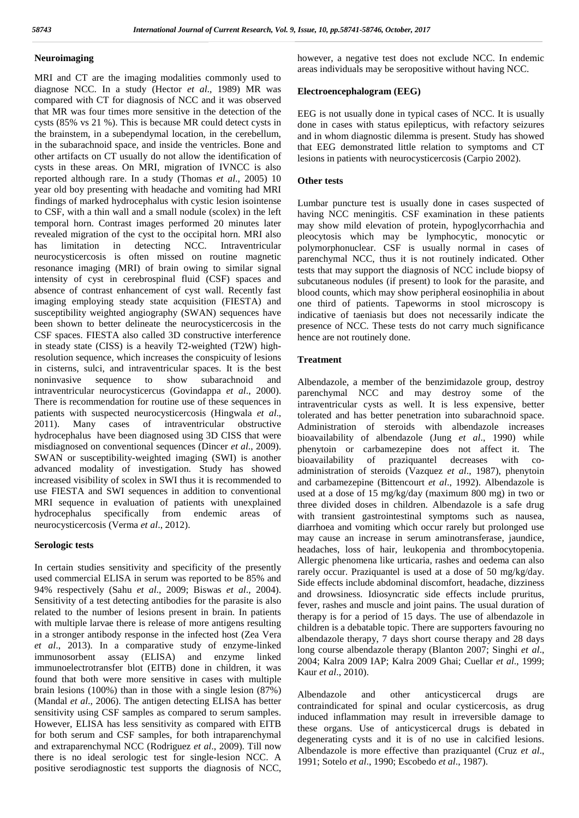# **Neuroimaging**

MRI and CT are the imaging modalities commonly used to diagnose NCC. In a study (Hector *et al*., 1989) MR was compared with CT for diagnosis of NCC and it was observed that MR was four times more sensitive in the detection of the cysts (85% vs 21 %). This is because MR could detect cysts in the brainstem, in a subependymal location, in the cerebellum, in the subarachnoid space, and inside the ventricles. Bone and other artifacts on CT usually do not allow the identification of cysts in these areas. On MRI, migration of IVNCC is also reported although rare. In a study (Thomas *et al*., 2005) 10 year old boy presenting with headache and vomiting had MRI findings of marked hydrocephalus with cystic lesion isointense to CSF, with a thin wall and a small nodule (scolex) in the left temporal horn. Contrast images performed 20 minutes later revealed migration of the cyst to the occipital horn. MRI also has limitation in detecting NCC. Intraventricular neurocysticercosis is often missed on routine magnetic resonance imaging (MRI) of brain owing to similar signal intensity of cyst in cerebrospinal fluid (CSF) spaces and absence of contrast enhancement of cyst wall. Recently fast imaging employing steady state acquisition (FIESTA) and susceptibility weighted angiography (SWAN) sequences have been shown to better delineate the neurocysticercosis in the CSF spaces. FIESTA also called 3D constructive interference in steady state (CISS) is a heavily T2-weighted (T2W) highresolution sequence, which increases the conspicuity of lesions in cisterns, sulci, and intraventricular spaces. It is the best noninvasive sequence to show subarachnoid and intraventricular neurocysticercus (Govindappa *et al*., 2000). There is recommendation for routine use of these sequences in patients with suspected neurocysticercosis (Hingwala *et al*., 2011). Many cases of intraventricular obstructive hydrocephalus have been diagnosed using 3D CISS that were misdiagnosed on conventional sequences (Dincer *et al*., 2009). SWAN or susceptibility-weighted imaging (SWI) is another advanced modality of investigation. Study has showed increased visibility of scolex in SWI thus it is recommended to use FIESTA and SWI sequences in addition to conventional MRI sequence in evaluation of patients with unexplained hydrocephalus specifically from endemic areas of neurocysticercosis (Verma *et al*., 2012).

#### **Serologic tests**

In certain studies sensitivity and specificity of the presently used commercial ELISA in serum was reported to be 85% and 94% respectively (Sahu *et al*., 2009; Biswas *et al*., 2004). Sensitivity of a test detecting antibodies for the parasite is also related to the number of lesions present in brain. In patients with multiple larvae there is release of more antigens resulting in a stronger antibody response in the infected host (Zea Vera *et al*., 2013). In a comparative study of enzyme-linked immunosorbent assay (ELISA) and enzyme linked immunoelectrotransfer blot (EITB) done in children, it was found that both were more sensitive in cases with multiple brain lesions (100%) than in those with a single lesion (87%) Albendazole (Mandal *et al*., 2006). The antigen detecting ELISA has better sensitivity using CSF samples as compared to serum samples. However, ELISA has less sensitivity as compared with EITB for both serum and CSF samples, for both intraparenchymal and extraparenchymal NCC (Rodriguez *et al*., 2009). Till now there is no ideal serologic test for single-lesion NCC. A positive serodiagnostic test supports the diagnosis of NCC,

however, a negative test does not exclude NCC. In endemic areas individuals may be seropositive without having NCC.

# **Electroencephalogram (EEG)**

EEG is not usually done in typical cases of NCC. It is usually done in cases with status epilepticus, with refactory seizures and in whom diagnostic dilemma is present. Study has showed that EEG demonstrated little relation to symptoms and CT lesions in patients with neurocysticercosis (Carpio 2002).

# **Other tests**

Lumbar puncture test is usually done in cases suspected of having NCC meningitis. CSF examination in these patients may show mild elevation of protein, hypoglycorrhachia and pleocytosis which may be lymphocytic, monocytic or polymorphonuclear. CSF is usually normal in cases of parenchymal NCC, thus it is not routinely indicated. Other tests that may support the diagnosis of NCC include biopsy of subcutaneous nodules (if present) to look for the parasite, and blood counts, which may show peripheral eosinophilia in about one third of patients. Tapeworms in stool microscopy is indicative of taeniasis but does not necessarily indicate the presence of NCC. These tests do not carry much significance hence are not routinely done.

# **Treatment**

Albendazole, a member of the benzimidazole group, destroy parenchymal NCC and may destroy some of the intraventricular cysts as well. It is less expensive, better tolerated and has better penetration into subarachnoid space. Administration of steroids with albendazole increases bioavailability of albendazole (Jung *et al*., 1990) while phenytoin or carbamezepine does not affect it. The bioavailability of praziquantel decreases with co administration of steroids (Vazquez *et al*., 1987), phenytoin and carbamezepine (Bittencourt *et al*., 1992). Albendazole is used at a dose of 15 mg/kg/day (maximum 800 mg) in two or three divided doses in children. Albendazole is a safe drug with transient gastrointestinal symptoms such as nausea, diarrhoea and vomiting which occur rarely but prolonged use may cause an increase in serum aminotransferase, jaundice, headaches, loss of hair, leukopenia and thrombocytopenia. Allergic phenomena like urticaria, rashes and oedema can also rarely occur. Praziquantel is used at a dose of 50 mg/kg/day. Side effects include abdominal discomfort, headache, dizziness and drowsiness. Idiosyncratic side effects include pruritus, fever, rashes and muscle and joint pains. The usual duration of therapy is for a period of 15 days. The use of albendazole in children is a debatable topic. There are supporters favouring no albendazole therapy, 7 days short course therapy and 28 days long course albendazole therapy (Blanton 2007; Singhi *et al*., 2004; Kalra 2009 IAP; Kalra 2009 Ghai; Cuellar *et al*., 1999; Kaur *et al*., 2010).

and other anticysticercal drugs are contraindicated for spinal and ocular cysticercosis, as drug induced inflammation may result in irreversible damage to these organs. Use of anticysticercal drugs is debated in degenerating cysts and it is of no use in calcified lesions. Albendazole is more effective than praziquantel (Cruz *et al*., 1991; Sotelo *et al*., 1990; Escobedo *et al*., 1987).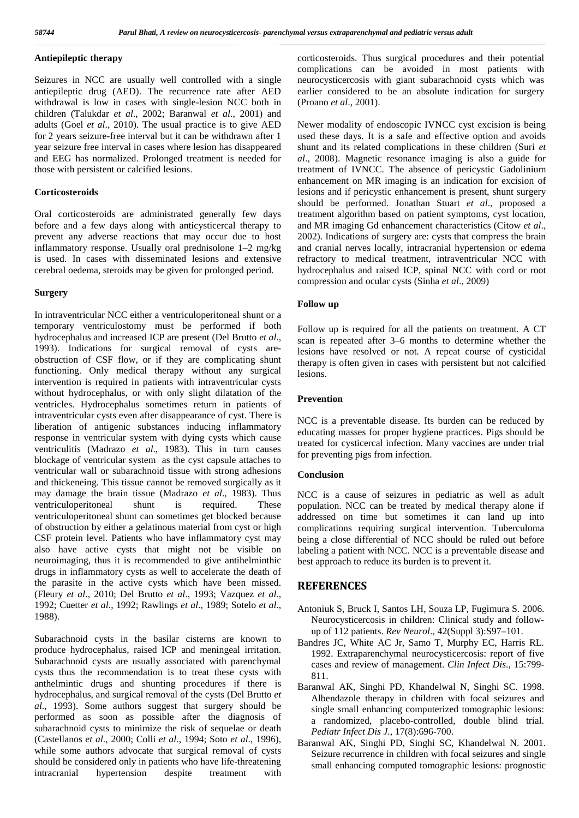# **Antiepileptic therapy**

Seizures in NCC are usually well controlled with a single antiepileptic drug (AED). The recurrence rate after AED withdrawal is low in cases with single-lesion NCC both in children (Talukdar *et al*., 2002; Baranwal *et al*., 2001) and adults (Goel *et al*., 2010). The usual practice is to give AED for 2 years seizure-free interval but it can be withdrawn after 1 year seizure free interval in cases where lesion has disappeared and EEG has normalized. Prolonged treatment is needed for those with persistent or calcified lesions.

#### **Corticosteroids**

Oral corticosteroids are administrated generally few days before and a few days along with anticysticercal therapy to prevent any adverse reactions that may occur due to host inflammatory response. Usually oral prednisolone 1–2 mg/kg is used. In cases with disseminated lesions and extensive cerebral oedema, steroids may be given for prolonged period.

# **Surgery**

In intraventricular NCC either a ventriculoperitoneal shunt or a temporary ventriculostomy must be performed if both hydrocephalus and increased ICP are present (Del Brutto *et al*., 1993). Indications for surgical removal of cysts are obstruction of CSF flow, or if they are complicating shunt functioning. Only medical therapy without any surgical intervention is required in patients with intraventricular cysts without hydrocephalus, or with only slight dilatation of the ventricles. Hydrocephalus sometimes return in patients of intraventricular cysts even after disappearance of cyst. There is liberation of antigenic substances inducing inflammatory response in ventricular system with dying cysts which cause ventriculitis (Madrazo *et al*., 1983). This in turn causes blockage of ventricular system as the cyst capsule attaches to ventricular wall or subarachnoid tissue with strong adhesions and thickeneing. This tissue cannot be removed surgically as it may damage the brain tissue (Madrazo *et al*., 1983). Thus ventriculoperitoneal shunt is required. These ventriculoperitoneal shunt can sometimes get blocked because of obstruction by either a gelatinous material from cyst or high CSF protein level. Patients who have inflammatory cyst may also have active cysts that might not be visible on neuroimaging, thus it is recommended to give antihelminthic drugs in inflammatory cysts as well to accelerate the death of the parasite in the active cysts which have been missed. (Fleury *et al*., 2010; Del Brutto *et al*., 1993; Vazquez *et al*., 1992; Cuetter *et al*., 1992; Rawlings *et al*., 1989; Sotelo *et al*., 1988).

Subarachnoid cysts in the basilar cisterns are known to produce hydrocephalus, raised ICP and meningeal irritation. Subarachnoid cysts are usually associated with parenchymal cysts thus the recommendation is to treat these cysts with anthelmintic drugs and shunting procedures if there is hydrocephalus, and surgical removal of the cysts (Del Brutto *et al*., 1993). Some authors suggest that surgery should be performed as soon as possible after the diagnosis of subarachnoid cysts to minimize the risk of sequelae or death (Castellanos *et al*., 2000; Colli *et al*., 1994; Soto *et al*., 1996), while some authors advocate that surgical removal of cysts should be considered only in patients who have life-threatening intracranial hypertension despite treatment with

corticosteroids. Thus surgical procedures and their potential complications can be avoided in most patients with neurocysticercosis with giant subarachnoid cysts which was earlier considered to be an absolute indication for surgery (Proano *et al*., 2001).

Newer modality of endoscopic IVNCC cyst excision is being used these days. It is a safe and effective option and avoids shunt and its related complications in these children (Suri *et al*., 2008). Magnetic resonance imaging is also a guide for treatment of IVNCC. The absence of pericystic Gadolinium enhancement on MR imaging is an indication for excision of lesions and if pericystic enhancement is present, shunt surgery should be performed. Jonathan Stuart *et al*., proposed a treatment algorithm based on patient symptoms, cyst location, and MR imaging Gd enhancement characteristics (Citow *et al*., 2002). Indications of surgery are: cysts that compress the brain and cranial nerves locally, intracranial hypertension or edema refractory to medical treatment, intraventricular NCC with hydrocephalus and raised ICP, spinal NCC with cord or root compression and ocular cysts (Sinha *et al*., 2009)

### **Follow up**

Follow up is required for all the patients on treatment. A CT scan is repeated after 3–6 months to determine whether the lesions have resolved or not. A repeat course of cysticidal therapy is often given in cases with persistent but not calcified lesions.

# **Prevention**

NCC is a preventable disease. Its burden can be reduced by educating masses for proper hygiene practices. Pigs should be treated for cysticercal infection. Many vaccines are under trial for preventing pigs from infection.

# **Conclusion**

NCC is a cause of seizures in pediatric as well as adult population. NCC can be treated by medical therapy alone if addressed on time but sometimes it can land up into complications requiring surgical intervention. Tuberculoma being a close differential of NCC should be ruled out before labeling a patient with NCC. NCC is a preventable disease and best approach to reduce its burden is to prevent it.

### **REFERENCES**

- Antoniuk S, Bruck I, Santos LH, Souza LP, Fugimura S. 2006. Neurocysticercosis in children: Clinical study and follow up of 112 patients. *Rev Neurol*., 42(Suppl 3):S97–101.
- Bandres JC, White AC Jr, Samo T, Murphy EC, Harris RL. 1992. Extraparenchymal neurocysticercosis: report of five cases and review of management. *Clin Infect Dis*., 15:799- 811.
- Baranwal AK, Singhi PD, Khandelwal N, Singhi SC. 1998. Albendazole therapy in children with focal seizures and single small enhancing computerized tomographic lesions: a randomized, placebo-controlled, double blind trial. *Pediatr Infect Dis J*., 17(8):696-700.
- Baranwal AK, Singhi PD, Singhi SC, Khandelwal N. 2001. Seizure recurrence in children with focal seizures and single small enhancing computed tomographic lesions: prognostic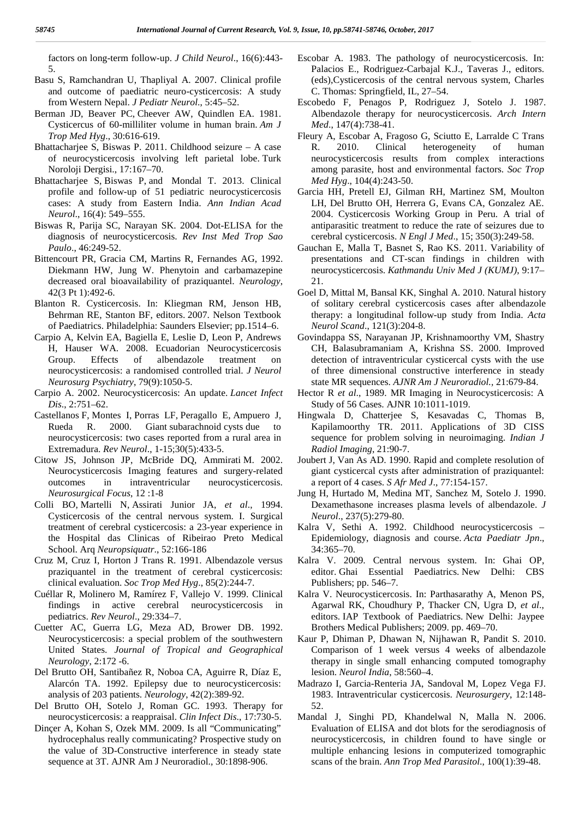factors on long-term follow-up. *J Child Neurol*., 16(6):443- 5.

- Basu S, Ramchandran U, Thapliyal A. 2007. Clinical profile and outcome of paediatric neuro-cysticercosis: A study from Western Nepal. *J Pediatr Neurol*., 5:45–52.
- Berman JD, Beaver PC, Cheever AW, Quindlen EA. 1981. Cysticercus of 60-milliliter volume in human brain. *Am J Trop Med Hyg*., 30:616-619.
- Bhattacharjee S, Biswas P. 2011. Childhood seizure A case of neurocysticercosis involving left parietal lobe. Turk Noroloji Dergisi., 17:167–70.
- Bhattacharjee S,Biswas P, and Mondal T. 2013. Clinical profile and follow-up of 51 pediatric neurocysticercosis cases: A study from Eastern India. *Ann Indian Acad Neurol*., 16(4): 549–555.
- Biswas R, Parija SC, Narayan SK. 2004. Dot-ELISA for the diagnosis of neurocysticercosis. *Rev Inst Med Trop Sao Paulo*., 46:249-52.
- Bittencourt PR, Gracia CM, Martins R, Fernandes AG, 1992. Diekmann HW, Jung W. Phenytoin and carbamazepine decreased oral bioavailability of praziquantel. *Neurology*, 42(3 Pt 1):492-6.
- Blanton R. Cysticercosis. In: Kliegman RM, Jenson HB, Behrman RE, Stanton BF, editors. 2007. Nelson Textbook of Paediatrics. Philadelphia: Saunders Elsevier; pp.1514–6.
- Carpio A, Kelvin EA, Bagiella E, Leslie D, Leon P, Andrews H, Hauser WA. 2008. Ecuadorian Neurocysticercosis Group. Effects of albendazole treatment on neurocysticercosis: a randomised controlled trial. *J Neurol Neurosurg Psychiatry*, 79(9):1050-5.
- Carpio A. 2002. Neurocysticercosis: An update. *Lancet Infect Dis*., 2:751–62.
- Castellanos F,Montes I, Porras LF, Peragallo E, Ampuero J, Rueda R. 2000. Giant subarachnoid cysts due to neurocysticercosis: two cases reported from a rural area in Extremadura. *Rev Neurol*., 1-15;30(5):433-5.
- Citow JS, Johnson JP, McBride DQ, Ammirati M. 2002. Neurocysticercosis Imaging features and surgery-related outcomes in intraventricular neurocysticercosis. *Neurosurgical Focus*, 12 :1-8
- Colli BO, Martelli N, Assirati Junior JA, *et al*., 1994. Cysticercosis of the central nervous system. I. Surgical treatment of cerebral cysticercosis: a 23-year experience in the Hospital das Clinicas of Ribeirao Preto Medical School. Arq *Neuropsiquatr*., 52:166-186
- Cruz M, Cruz I, Horton J Trans R. 1991. Albendazole versus praziquantel in the treatment of cerebral cysticercosis: clinical evaluation. *Soc Trop Med Hyg*., 85(2):244-7.
- Cuéllar R, Molinero M, Ramírez F, Vallejo V. 1999. Clinical findings in active cerebral neurocysticercosis in pediatrics. *Rev Neurol*., 29:334–7.
- Cuetter AC, Guerra LG, Meza AD, Brower DB. 1992. Neurocysticercosis: a special problem of the southwestern United States. *Journal of Tropical and Geographical Neurology*, 2:172 -6.
- Del Brutto OH, Santibañez R, Noboa CA, Aguirre R, Díaz E, Alarcón TA. 1992. Epilepsy due to neurocysticercosis: analysis of 203 patients. *Neurology*, 42(2):389-92.
- Del Brutto OH, Sotelo J, Roman GC. 1993. Therapy for neurocysticercosis: a reappraisal. *Clin Infect Dis*., 17:730-5.
- Dinçer A, Kohan S, Ozek MM. 2009. Is all "Communicating" hydrocephalus really communicating? Prospective study on the value of 3D-Constructive interference in steady state sequence at 3T. AJNR Am J Neuroradiol., 30:1898-906.
- Escobar A. 1983. The pathology of neurocysticercosis. In: Palacios E., Rodriguez-Carbajal K.J., Taveras J., editors. (eds),Cysticercosis of the central nervous system, Charles C. Thomas: Springfield, IL, 27–54.
- Escobedo F, Penagos P, Rodriguez J, Sotelo J. 1987. Albendazole therapy for neurocysticercosis. *Arch Intern Med*., 147(4):738-41.
- Fleury A, Escobar A, Fragoso G, Sciutto E, Larralde C Trans 2010. Clinical heterogeneity of human neurocysticercosis results from complex interactions among parasite, host and environmental factors. *Soc Trop Med Hyg*., 104(4):243-50.
- Garcia HH, Pretell EJ, Gilman RH, Martinez SM, Moulton LH, Del Brutto OH, Herrera G, Evans CA, Gonzalez AE. 2004. Cysticercosis Working Group in Peru. A trial of antiparasitic treatment to reduce the rate of seizures due to cerebral cysticercosis. *N Engl J Med*., 15; 350(3):249-58.
- Gauchan E, Malla T, Basnet S, Rao KS. 2011. Variability of presentations and CT-scan findings in children with neurocysticercosis. *Kathmandu Univ Med J (KUMJ)*, 9:17– 21.
- Goel D, Mittal M, Bansal KK, Singhal A. 2010. Natural history of solitary cerebral cysticercosis cases after albendazole therapy: a longitudinal follow-up study from India. *Acta Neurol Scand*., 121(3):204-8.
- Govindappa SS, Narayanan JP, Krishnamoorthy VM, Shastry CH, Balasubramaniam A, Krishna SS. 2000. Improved detection of intraventricular cysticercal cysts with the use of three dimensional constructive interference in steady state MR sequences. *AJNR Am J Neuroradiol.,* 21:679-84.
- Hector R *et al*., 1989. MR Imaging in Neurocysticercosis: A Study of 56 Cases. AJNR 10:1011-1019.
- Hingwala D, Chatterjee S, Kesavadas C, Thomas B, Kapilamoorthy TR. 2011. Applications of 3D CISS sequence for problem solving in neuroimaging. *Indian J Radiol Imaging*, 21:90-7.
- Joubert J, Van As AD. 1990. Rapid and complete resolution of giant cysticercal cysts after administration of praziquantel: a report of 4 cases. *S Afr Med J*., 77:154-157.
- Jung H, Hurtado M, Medina MT, Sanchez M, Sotelo J. 1990. Dexamethasone increases plasma levels of albendazole. *J Neurol*., 237(5):279-80.
- Kalra V, Sethi A. 1992. Childhood neurocysticercosis Epidemiology, diagnosis and course. *Acta Paediatr Jpn*., 34:365–70.
- Kalra V. 2009. Central nervous system. In: Ghai OP, editor. Ghai Essential Paediatrics. New Delhi: CBS Publishers; pp. 546–7.
- Kalra V. Neurocysticercosis. In: Parthasarathy A, Menon PS, Agarwal RK, Choudhury P, Thacker CN, Ugra D, *et al*., editors. IAP Textbook of Paediatrics. New Delhi: Jaypee Brothers Medical Publishers; 2009. pp. 469–70.
- Kaur P, Dhiman P, Dhawan N, Nijhawan R, Pandit S. 2010. Comparison of 1 week versus 4 weeks of albendazole therapy in single small enhancing computed tomography lesion. *Neurol India*, 58:560–4.
- Madrazo I, Garcia-Renteria JA, Sandoval M, Lopez Vega FJ. 1983. Intraventricular cysticercosis. *Neurosurgery*, 12:148- 52.
- Mandal J, Singhi PD, Khandelwal N, Malla N. 2006. Evaluation of ELISA and dot blots for the serodiagnosis of neurocysticercosis, in children found to have single or multiple enhancing lesions in computerized tomographic scans of the brain. *Ann Trop Med Parasitol*., 100(1):39-48.